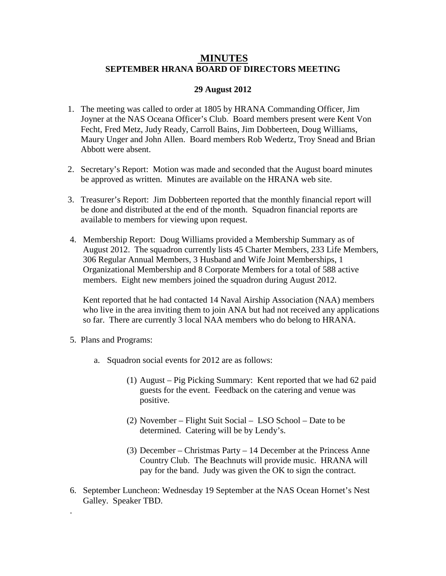## **MINUTES SEPTEMBER HRANA BOARD OF DIRECTORS MEETING**

## **29 August 2012**

- 1. The meeting was called to order at 1805 by HRANA Commanding Officer, Jim Joyner at the NAS Oceana Officer's Club. Board members present were Kent Von Fecht, Fred Metz, Judy Ready, Carroll Bains, Jim Dobberteen, Doug Williams, Maury Unger and John Allen. Board members Rob Wedertz, Troy Snead and Brian Abbott were absent.
- 2. Secretary's Report: Motion was made and seconded that the August board minutes be approved as written. Minutes are available on the HRANA web site.
- 3. Treasurer's Report: Jim Dobberteen reported that the monthly financial report will be done and distributed at the end of the month. Squadron financial reports are available to members for viewing upon request.
- 4. Membership Report: Doug Williams provided a Membership Summary as of August 2012. The squadron currently lists 45 Charter Members, 233 Life Members, 306 Regular Annual Members, 3 Husband and Wife Joint Memberships, 1 Organizational Membership and 8 Corporate Members for a total of 588 active members. Eight new members joined the squadron during August 2012.

Kent reported that he had contacted 14 Naval Airship Association (NAA) members who live in the area inviting them to join ANA but had not received any applications so far. There are currently 3 local NAA members who do belong to HRANA.

5. Plans and Programs:

.

- a. Squadron social events for 2012 are as follows:
	- (1) August Pig Picking Summary: Kent reported that we had 62 paid guests for the event. Feedback on the catering and venue was positive.
	- (2) November Flight Suit Social LSO School Date to be determined. Catering will be by Lendy's.
	- (3) December Christmas Party 14 December at the Princess Anne Country Club. The Beachnuts will provide music. HRANA will pay for the band. Judy was given the OK to sign the contract.
- 6. September Luncheon: Wednesday 19 September at the NAS Ocean Hornet's Nest Galley. Speaker TBD.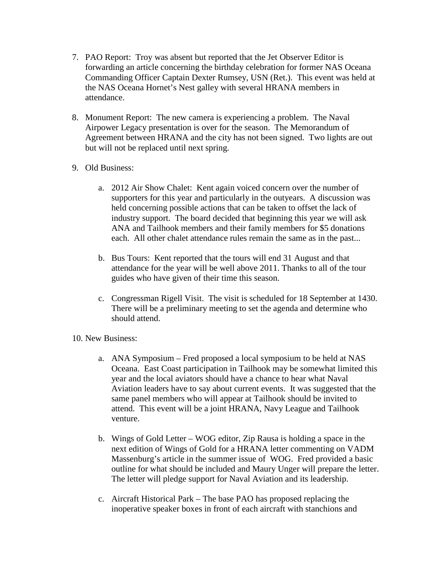- 7. PAO Report: Troy was absent but reported that the Jet Observer Editor is forwarding an article concerning the birthday celebration for former NAS Oceana Commanding Officer Captain Dexter Rumsey, USN (Ret.). This event was held at the NAS Oceana Hornet's Nest galley with several HRANA members in attendance.
- 8. Monument Report: The new camera is experiencing a problem. The Naval Airpower Legacy presentation is over for the season. The Memorandum of Agreement between HRANA and the city has not been signed. Two lights are out but will not be replaced until next spring.
- 9. Old Business:
	- a. 2012 Air Show Chalet: Kent again voiced concern over the number of supporters for this year and particularly in the outyears. A discussion was held concerning possible actions that can be taken to offset the lack of industry support. The board decided that beginning this year we will ask ANA and Tailhook members and their family members for \$5 donations each. All other chalet attendance rules remain the same as in the past...
	- b. Bus Tours: Kent reported that the tours will end 31 August and that attendance for the year will be well above 2011. Thanks to all of the tour guides who have given of their time this season.
	- c. Congressman Rigell Visit. The visit is scheduled for 18 September at 1430. There will be a preliminary meeting to set the agenda and determine who should attend.

10. New Business:

- a. ANA Symposium Fred proposed a local symposium to be held at NAS Oceana. East Coast participation in Tailhook may be somewhat limited this year and the local aviators should have a chance to hear what Naval Aviation leaders have to say about current events. It was suggested that the same panel members who will appear at Tailhook should be invited to attend. This event will be a joint HRANA, Navy League and Tailhook venture.
- b. Wings of Gold Letter WOG editor, Zip Rausa is holding a space in the next edition of Wings of Gold for a HRANA letter commenting on VADM Massenburg's article in the summer issue of WOG. Fred provided a basic outline for what should be included and Maury Unger will prepare the letter. The letter will pledge support for Naval Aviation and its leadership.
- c. Aircraft Historical Park The base PAO has proposed replacing the inoperative speaker boxes in front of each aircraft with stanchions and